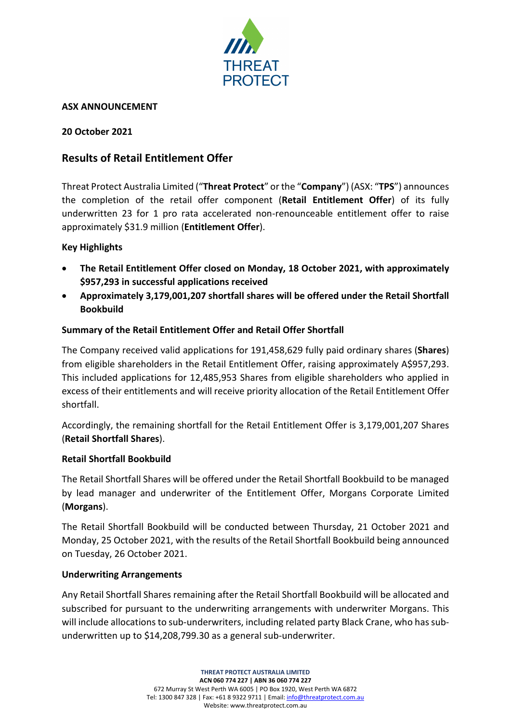

### **ASX ANNOUNCEMENT**

### **20 October 2021**

# **Results of Retail Entitlement Offer**

Threat Protect Australia Limited ("**Threat Protect**" or the "**Company**") (ASX: "**TPS**") announces the completion of the retail offer component (**Retail Entitlement Offer**) of its fully underwritten 23 for 1 pro rata accelerated non-renounceable entitlement offer to raise approximately \$31.9 million (**Entitlement Offer**).

# **Key Highlights**

- **The Retail Entitlement Offer closed on Monday, 18 October 2021, with approximately \$957,293 in successful applications received**
- **Approximately 3,179,001,207 shortfall shares will be offered under the Retail Shortfall Bookbuild**

### **Summary of the Retail Entitlement Offer and Retail Offer Shortfall**

The Company received valid applications for 191,458,629 fully paid ordinary shares (**Shares**) from eligible shareholders in the Retail Entitlement Offer, raising approximately A\$957,293. This included applications for 12,485,953 Shares from eligible shareholders who applied in excess of their entitlements and will receive priority allocation of the Retail Entitlement Offer shortfall.

Accordingly, the remaining shortfall for the Retail Entitlement Offer is 3,179,001,207 Shares (**Retail Shortfall Shares**).

#### **Retail Shortfall Bookbuild**

The Retail Shortfall Shares will be offered under the Retail Shortfall Bookbuild to be managed by lead manager and underwriter of the Entitlement Offer, Morgans Corporate Limited (**Morgans**).

The Retail Shortfall Bookbuild will be conducted between Thursday, 21 October 2021 and Monday, 25 October 2021, with the results of the Retail Shortfall Bookbuild being announced on Tuesday, 26 October 2021.

#### **Underwriting Arrangements**

Any Retail Shortfall Shares remaining after the Retail Shortfall Bookbuild will be allocated and subscribed for pursuant to the underwriting arrangements with underwriter Morgans. This will include allocations to sub-underwriters, including related party Black Crane, who has subunderwritten up to \$14,208,799.30 as a general sub-underwriter.

> **THREAT PROTECT AUSTRALIA LIMITED ACN 060 774 227 | ABN 36 060 774 227** 672 Murray St West Perth WA 6005 | PO Box 1920, West Perth WA 6872 Tel: 1300 847 328 | Fax: +61 8 9322 9711 | Email[: info@threatprotect.com.au](mailto:info@threatprotect.com.au) Website: www.threatprotect.com.au